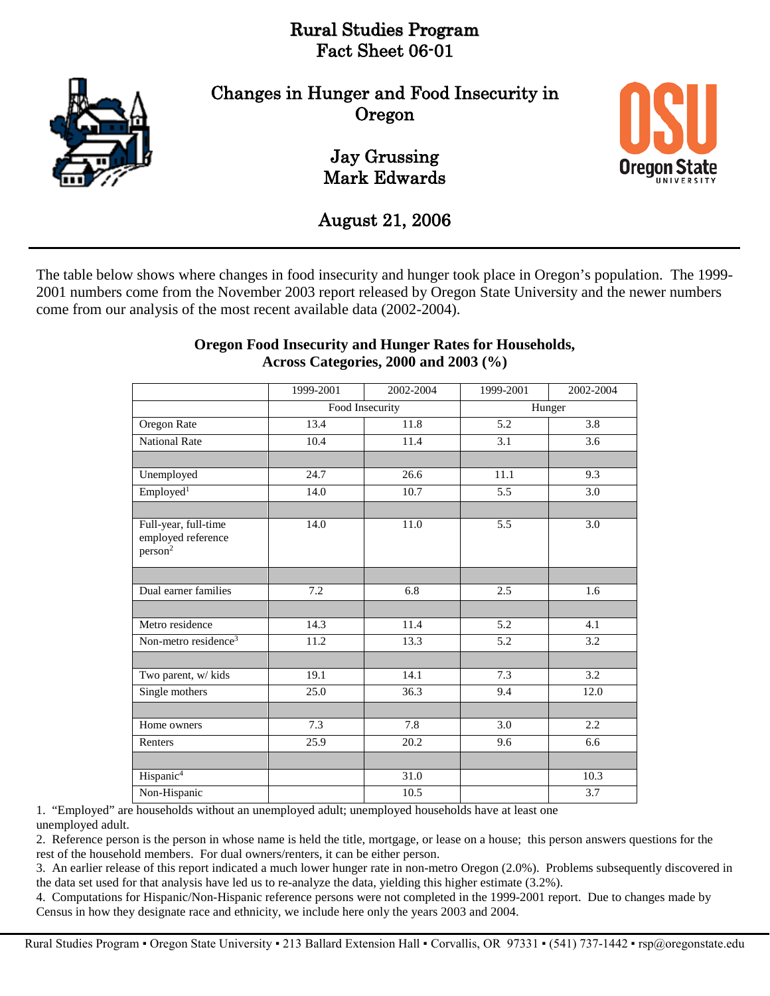# Rural Studies Program Fact Sheet 06-01



Changes in Hunger and Food Insecurity in Oregon

> Jay Grussing Mark Edwards



August 21, 2006

The table below shows where changes in food insecurity and hunger took place in Oregon's population. The 1999- 2001 numbers come from the November 2003 report released by Oregon State University and the newer numbers come from our analysis of the most recent available data (2002-2004).

|                                                                   | 1999-2001       | 2002-2004         | 1999-2001        | 2002-2004        |
|-------------------------------------------------------------------|-----------------|-------------------|------------------|------------------|
|                                                                   |                 |                   |                  |                  |
|                                                                   | Food Insecurity |                   | Hunger           |                  |
| Oregon Rate                                                       | 13.4            | 11.8              | $\overline{5.2}$ | 3.8              |
| <b>National Rate</b>                                              | 10.4            | 11.4              | 3.1              | $\overline{3.6}$ |
|                                                                   |                 |                   |                  |                  |
| Unemployed                                                        | 24.7            | 26.6              | 11.1             | 9.3              |
| Employed <sup>1</sup>                                             | 14.0            | 10.7              | 5.5              | 3.0              |
|                                                                   |                 |                   |                  |                  |
| Full-year, full-time<br>employed reference<br>person <sup>2</sup> | 14.0            | 11.0              | 5.5              | 3.0              |
|                                                                   |                 |                   |                  |                  |
| Dual earner families                                              | 7.2             | 6.8               | 2.5              | 1.6              |
|                                                                   |                 |                   |                  |                  |
| Metro residence                                                   | 14.3            | 11.4              | 5.2              | 4.1              |
| Non-metro residence <sup>3</sup>                                  | 11.2            | 13.3              | 5.2              | 3.2              |
|                                                                   |                 |                   |                  |                  |
| Two parent, w/ kids                                               | 19.1            | 14.1              | 7.3              | 3.2              |
| Single mothers                                                    | 25.0            | 36.3              | 9.4              | 12.0             |
|                                                                   |                 |                   |                  |                  |
| Home owners                                                       | 7.3             | 7.8               | 3.0              | 2.2              |
| Renters                                                           | 25.9            | $\overline{20.2}$ | 9.6              | 6.6              |
|                                                                   |                 |                   |                  |                  |
| Hispanic <sup>4</sup>                                             |                 | 31.0              |                  | 10.3             |
| Non-Hispanic                                                      |                 | 10.5              |                  | 3.7              |

#### **Oregon Food Insecurity and Hunger Rates for Households, Across Categories, 2000 and 2003 (%)**

1. "Employed" are households without an unemployed adult; unemployed households have at least one unemployed adult.

2. Reference person is the person in whose name is held the title, mortgage, or lease on a house; this person answers questions for the rest of the household members. For dual owners/renters, it can be either person.

3. An earlier release of this report indicated a much lower hunger rate in non-metro Oregon (2.0%). Problems subsequently discovered in the data set used for that analysis have led us to re-analyze the data, yielding this higher estimate (3.2%).

4. Computations for Hispanic/Non-Hispanic reference persons were not completed in the 1999-2001 report. Due to changes made by Census in how they designate race and ethnicity, we include here only the years 2003 and 2004.

Rural Studies Program • Oregon State University • 213 Ballard Extension Hall • Corvallis, OR 97331 • (541) 737-1442 • rsp@oregonstate.edu